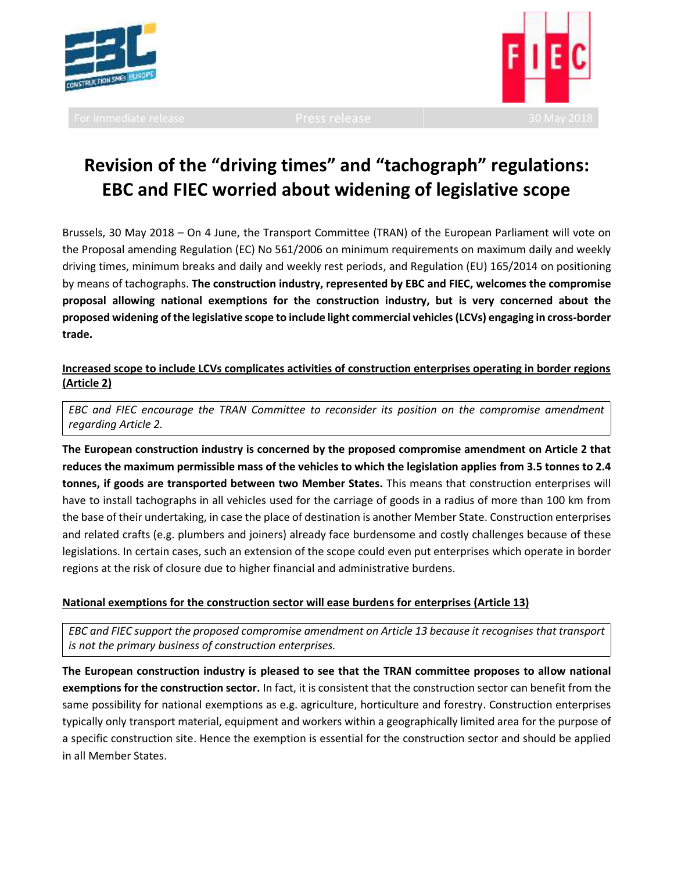



# **Revision of the "driving times" and "tachograph" regulations: EBC and FIEC worried about widening of legislative scope**

Brussels, 30 May 2018 – On 4 June, the Transport Committee (TRAN) of the European Parliament will vote on the Proposal amending Regulation (EC) No 561/2006 on minimum requirements on maximum daily and weekly driving times, minimum breaks and daily and weekly rest periods, and Regulation (EU) 165/2014 on positioning by means of tachographs. **The construction industry, represented by EBC and FIEC, welcomes the compromise proposal allowing national exemptions for the construction industry, but is very concerned about the proposed widening of the legislative scope to include light commercial vehicles(LCVs) engaging in cross-border trade.**

# **Increased scope to include LCVs complicates activities of construction enterprises operating in border regions (Article 2)**

*EBC and FIEC encourage the TRAN Committee to reconsider its position on the compromise amendment regarding Article 2.*

**The European construction industry is concerned by the proposed compromise amendment on Article 2 that reduces the maximum permissible mass of the vehicles to which the legislation applies from 3.5 tonnes to 2.4 tonnes, if goods are transported between two Member States.** This means that construction enterprises will have to install tachographs in all vehicles used for the carriage of goods in a radius of more than 100 km from the base of their undertaking, in case the place of destination is another Member State. Construction enterprises and related crafts (e.g. plumbers and joiners) already face burdensome and costly challenges because of these legislations. In certain cases, such an extension of the scope could even put enterprises which operate in border regions at the risk of closure due to higher financial and administrative burdens.

## **National exemptions for the construction sector will ease burdens for enterprises (Article 13)**

*EBC and FIEC support the proposed compromise amendment on Article 13 because it recognises that transport is not the primary business of construction enterprises.*

**The European construction industry is pleased to see that the TRAN committee proposes to allow national exemptions for the construction sector.** In fact, it is consistent that the construction sector can benefit from the same possibility for national exemptions as e.g. agriculture, horticulture and forestry. Construction enterprises typically only transport material, equipment and workers within a geographically limited area for the purpose of a specific construction site. Hence the exemption is essential for the construction sector and should be applied in all Member States.